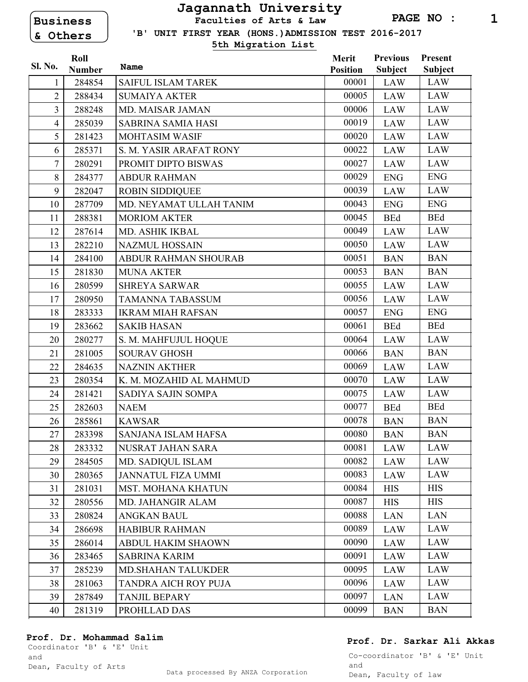# **Business & Others**

## **Jagannath University Faculties of Arts & Law**

 **'B' UNIT FIRST YEAR (HONS.)ADMISSION TEST 2016-2017**

**5th Migration List**

|                | Roll          |                           | Merit           | <b>Previous</b> | Present        |
|----------------|---------------|---------------------------|-----------------|-----------------|----------------|
| Sl. No.        | <b>Number</b> | Name                      | <b>Position</b> | <b>Subject</b>  | <b>Subject</b> |
| 1              | 284854        | SAIFUL ISLAM TAREK        | 00001           | LAW             | LAW            |
| $\overline{2}$ | 288434        | <b>SUMAIYA AKTER</b>      | 00005           | <b>LAW</b>      | <b>LAW</b>     |
| 3              | 288248        | <b>MD. MAISAR JAMAN</b>   | 00006           | <b>LAW</b>      | <b>LAW</b>     |
| $\overline{4}$ | 285039        | <b>SABRINA SAMIA HASI</b> | 00019           | <b>LAW</b>      | <b>LAW</b>     |
| 5              | 281423        | <b>MOHTASIM WASIF</b>     | 00020           | <b>LAW</b>      | <b>LAW</b>     |
| 6              | 285371        | S. M. YASIR ARAFAT RONY   | 00022           | <b>LAW</b>      | <b>LAW</b>     |
| $\overline{7}$ | 280291        | PROMIT DIPTO BISWAS       | 00027           | <b>LAW</b>      | <b>LAW</b>     |
| 8              | 284377        | <b>ABDUR RAHMAN</b>       | 00029           | <b>ENG</b>      | <b>ENG</b>     |
| 9              | 282047        | <b>ROBIN SIDDIQUEE</b>    | 00039           | <b>LAW</b>      | <b>LAW</b>     |
| 10             | 287709        | MD. NEYAMAT ULLAH TANIM   | 00043           | <b>ENG</b>      | <b>ENG</b>     |
| 11             | 288381        | <b>MORIOM AKTER</b>       | 00045           | <b>BEd</b>      | <b>BEd</b>     |
| 12             | 287614        | MD. ASHIK IKBAL           | 00049           | <b>LAW</b>      | <b>LAW</b>     |
| 13             | 282210        | <b>NAZMUL HOSSAIN</b>     | 00050           | <b>LAW</b>      | <b>LAW</b>     |
| 14             | 284100        | ABDUR RAHMAN SHOURAB      | 00051           | <b>BAN</b>      | <b>BAN</b>     |
| 15             | 281830        | <b>MUNA AKTER</b>         | 00053           | <b>BAN</b>      | <b>BAN</b>     |
| 16             | 280599        | <b>SHREYA SARWAR</b>      | 00055           | <b>LAW</b>      | <b>LAW</b>     |
| 17             | 280950        | <b>TAMANNA TABASSUM</b>   | 00056           | <b>LAW</b>      | <b>LAW</b>     |
| 18             | 283333        | <b>IKRAM MIAH RAFSAN</b>  | 00057           | <b>ENG</b>      | <b>ENG</b>     |
| 19             | 283662        | <b>SAKIB HASAN</b>        | 00061           | <b>BEd</b>      | <b>BEd</b>     |
| 20             | 280277        | S. M. MAHFUJUL HOQUE      | 00064           | <b>LAW</b>      | <b>LAW</b>     |
| 21             | 281005        | <b>SOURAV GHOSH</b>       | 00066           | <b>BAN</b>      | <b>BAN</b>     |
| 22             | 284635        | <b>NAZNIN AKTHER</b>      | 00069           | <b>LAW</b>      | <b>LAW</b>     |
| 23             | 280354        | K. M. MOZAHID AL MAHMUD   | 00070           | <b>LAW</b>      | <b>LAW</b>     |
| 24             | 281421        | SADIYA SAJIN SOMPA        | 00075           | <b>LAW</b>      | <b>LAW</b>     |
| 25             | 282603        | <b>NAEM</b>               | 00077           | <b>BEd</b>      | <b>BEd</b>     |
| 26             | 285861        | <b>KAWSAR</b>             | 00078           | <b>BAN</b>      | <b>BAN</b>     |
| 27             | 283398        | SANJANA ISLAM HAFSA       | 00080           | <b>BAN</b>      | <b>BAN</b>     |
| 28             | 283332        | NUSRAT JAHAN SARA         | 00081           | LAW             | LAW            |
| 29             | 284505        | MD. SADIQUL ISLAM         | 00082           | LAW             | LAW            |
| 30             | 280365        | <b>JANNATUL FIZA UMMI</b> | 00083           | <b>LAW</b>      | <b>LAW</b>     |
| 31             | 281031        | <b>MST. MOHANA KHATUN</b> | 00084           | <b>HIS</b>      | <b>HIS</b>     |
| 32             | 280556        | MD. JAHANGIR ALAM         | 00087           | <b>HIS</b>      | <b>HIS</b>     |
| 33             | 280824        | <b>ANGKAN BAUL</b>        | 00088           | <b>LAN</b>      | <b>LAN</b>     |
| 34             | 286698        | <b>HABIBUR RAHMAN</b>     | 00089           | LAW             | LAW            |
| 35             | 286014        | <b>ABDUL HAKIM SHAOWN</b> | 00090           | LAW             | <b>LAW</b>     |
| 36             | 283465        | <b>SABRINA KARIM</b>      | 00091           | LAW             | LAW            |
| 37             | 285239        | <b>MD.SHAHAN TALUKDER</b> | 00095           | LAW             | <b>LAW</b>     |
| 38             | 281063        | TANDRA AICH ROY PUJA      | 00096           | LAW             | <b>LAW</b>     |
| 39             | 287849        | <b>TANJIL BEPARY</b>      | 00097           | <b>LAN</b>      | LAW            |
| 40             | 281319        | PROHLLAD DAS              | 00099           | <b>BAN</b>      | <b>BAN</b>     |
|                |               |                           |                 |                 |                |

#### **Prof. Dr. Mohammad Salim**

Coordinator 'B' & 'E' Unit and

### **Prof. Dr. Sarkar Ali Akkas**

Co-coordinator 'B' & 'E' Unit and Dean, Faculty of law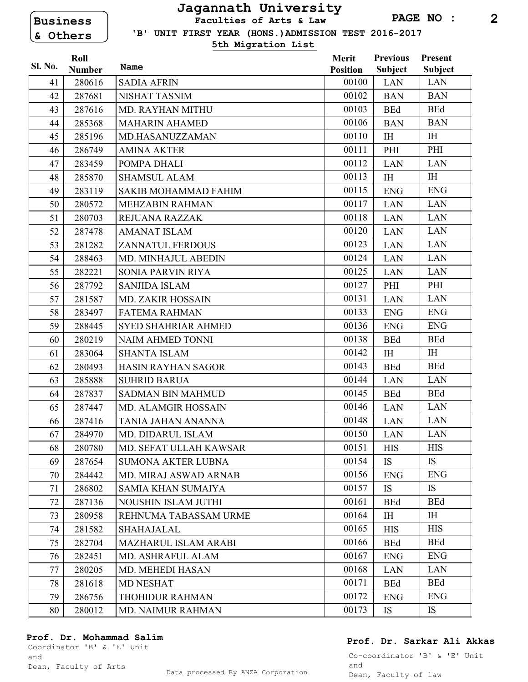**Business & Others** 

## **Jagannath University Faculties of Arts & Law**

**PAGE NO : 2**

 **'B' UNIT FIRST YEAR (HONS.)ADMISSION TEST 2016-2017**

**5th Migration List**

|                | Roll          |                             | <b>Merit</b>    | <b>Previous</b> | Present        |
|----------------|---------------|-----------------------------|-----------------|-----------------|----------------|
| <b>Sl. No.</b> | <b>Number</b> | Name                        | <b>Position</b> | <b>Subject</b>  | <b>Subject</b> |
| 41             | 280616        | <b>SADIA AFRIN</b>          | 00100           | <b>LAN</b>      | LAN            |
| 42             | 287681        | NISHAT TASNIM               | 00102           | <b>BAN</b>      | <b>BAN</b>     |
| 43             | 287616        | <b>MD. RAYHAN MITHU</b>     | 00103           | <b>BEd</b>      | <b>BEd</b>     |
| 44             | 285368        | <b>MAHARIN AHAMED</b>       | 00106           | <b>BAN</b>      | <b>BAN</b>     |
| 45             | 285196        | MD.HASANUZZAMAN             | 00110           | IH              | I <sub>H</sub> |
| 46             | 286749        | <b>AMINA AKTER</b>          | 00111           | PHI             | PHI            |
| 47             | 283459        | POMPA DHALI                 | 00112           | <b>LAN</b>      | <b>LAN</b>     |
| 48             | 285870        | <b>SHAMSUL ALAM</b>         | 00113           | IH              | I <sub>H</sub> |
| 49             | 283119        | <b>SAKIB MOHAMMAD FAHIM</b> | 00115           | <b>ENG</b>      | <b>ENG</b>     |
| 50             | 280572        | <b>MEHZABIN RAHMAN</b>      | 00117           | <b>LAN</b>      | <b>LAN</b>     |
| 51             | 280703        | REJUANA RAZZAK              | 00118           | <b>LAN</b>      | <b>LAN</b>     |
| 52             | 287478        | <b>AMANAT ISLAM</b>         | 00120           | <b>LAN</b>      | <b>LAN</b>     |
| 53             | 281282        | <b>ZANNATUL FERDOUS</b>     | 00123           | <b>LAN</b>      | <b>LAN</b>     |
| 54             | 288463        | MD. MINHAJUL ABEDIN         | 00124           | <b>LAN</b>      | <b>LAN</b>     |
| 55             | 282221        | SONIA PARVIN RIYA           | 00125           | <b>LAN</b>      | <b>LAN</b>     |
| 56             | 287792        | <b>SANJIDA ISLAM</b>        | 00127           | PHI             | PHI            |
| 57             | 281587        | <b>MD. ZAKIR HOSSAIN</b>    | 00131           | <b>LAN</b>      | <b>LAN</b>     |
| 58             | 283497        | <b>FATEMA RAHMAN</b>        | 00133           | <b>ENG</b>      | <b>ENG</b>     |
| 59             | 288445        | <b>SYED SHAHRIAR AHMED</b>  | 00136           | <b>ENG</b>      | <b>ENG</b>     |
| 60             | 280219        | NAIM AHMED TONNI            | 00138           | <b>BEd</b>      | <b>BEd</b>     |
| 61             | 283064        | <b>SHANTA ISLAM</b>         | 00142           | <b>IH</b>       | <b>IH</b>      |
| 62             | 280493        | <b>HASIN RAYHAN SAGOR</b>   | 00143           | <b>BEd</b>      | <b>BEd</b>     |
| 63             | 285888        | <b>SUHRID BARUA</b>         | 00144           | <b>LAN</b>      | LAN            |
| 64             | 287837        | <b>SADMAN BIN MAHMUD</b>    | 00145           | <b>BEd</b>      | <b>BEd</b>     |
| 65             | 287447        | MD. ALAMGIR HOSSAIN         | 00146           | <b>LAN</b>      | <b>LAN</b>     |
| 66             | 287416        | TANIA JAHAN ANANNA          | 00148           | <b>LAN</b>      | <b>LAN</b>     |
| 67             | 284970        | MD. DIDARUL ISLAM           | 00150           | <b>LAN</b>      | <b>LAN</b>     |
| 68             | 280780        | MD. SEFAT ULLAH KAWSAR      | 00151           | <b>HIS</b>      | <b>HIS</b>     |
| 69             | 287654        | <b>SUMONA AKTER LUBNA</b>   | 00154           | IS              | <b>IS</b>      |
| 70             | 284442        | MD. MIRAJ ASWAD ARNAB       | 00156           | <b>ENG</b>      | <b>ENG</b>     |
| 71             | 286802        | <b>SAMIA KHAN SUMAIYA</b>   | 00157           | <b>IS</b>       | <b>IS</b>      |
| 72             | 287136        | NOUSHIN ISLAM JUTHI         | 00161           | <b>BEd</b>      | <b>BEd</b>     |
| 73             | 280958        | REHNUMA TABASSAM URME       | 00164           | I <sub>H</sub>  | I <sub>H</sub> |
| 74             | 281582        | SHAHAJALAL                  | 00165           | <b>HIS</b>      | <b>HIS</b>     |
| 75             | 282704        | <b>MAZHARUL ISLAM ARABI</b> | 00166           | <b>BEd</b>      | <b>BEd</b>     |
| 76             | 282451        | MD. ASHRAFUL ALAM           | 00167           | <b>ENG</b>      | <b>ENG</b>     |
| 77             | 280205        | <b>MD. MEHEDI HASAN</b>     | 00168           | <b>LAN</b>      | <b>LAN</b>     |
| 78             | 281618        | <b>MD NESHAT</b>            | 00171           | <b>BEd</b>      | <b>BEd</b>     |
| 79             | 286756        | THOHIDUR RAHMAN             | 00172           | <b>ENG</b>      | <b>ENG</b>     |
| 80             | 280012        | <b>MD. NAIMUR RAHMAN</b>    | 00173           | IS              | IS             |

#### **Prof. Dr. Mohammad Salim**

Coordinator 'B' & 'E' Unit and

Dean, Faculty of Arts

#### **Prof. Dr. Sarkar Ali Akkas**

Co-coordinator 'B' & 'E' Unit and Dean, Faculty of law